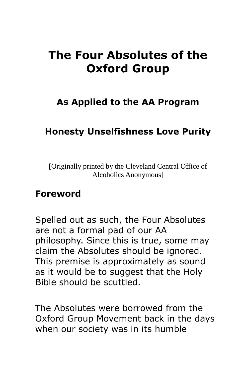# **The Four Absolutes of the Oxford Group**

# **As Applied to the AA Program**

## **Honesty Unselfishness Love Purity**

[Originally printed by the Cleveland Central Office of Alcoholics Anonymous]

#### **Foreword**

Spelled out as such, the Four Absolutes are not a formal pad of our AA philosophy. Since this is true, some may claim the Absolutes should be ignored. This premise is approximately as sound as it would be to suggest that the Holy Bible should be scuttled.

The Absolutes were borrowed from the Oxford Group Movement back in the days when our society was in its humble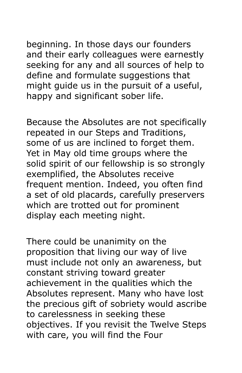beginning. In those days our founders and their early colleagues were earnestly seeking for any and all sources of help to define and formulate suggestions that might guide us in the pursuit of a useful, happy and significant sober life.

Because the Absolutes are not specifically repeated in our Steps and Traditions, some of us are inclined to forget them. Yet in May old time groups where the solid spirit of our fellowship is so strongly exemplified, the Absolutes receive frequent mention. Indeed, you often find a set of old placards, carefully preservers which are trotted out for prominent display each meeting night.

There could be unanimity on the proposition that living our way of live must include not only an awareness, but constant striving toward greater achievement in the qualities which the Absolutes represent. Many who have lost the precious gift of sobriety would ascribe to carelessness in seeking these objectives. If you revisit the Twelve Steps with care, you will find the Four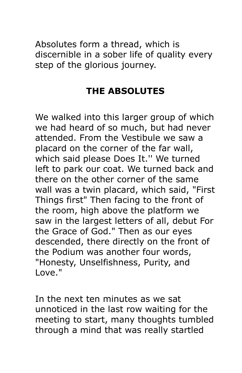Absolutes form a thread, which is discernible in a sober life of quality every step of the glorious journey.

# **THE ABSOLUTES**

We walked into this larger group of which we had heard of so much, but had never attended. From the Vestibule we saw a placard on the corner of the far wall, which said please Does It.'' We turned left to park our coat. We turned back and there on the other corner of the same wall was a twin placard, which said, "First Things first" Then facing to the front of the room, high above the platform we saw in the largest letters of all, debut For the Grace of God." Then as our eyes descended, there directly on the front of the Podium was another four words, "Honesty, Unselfishness, Purity, and Love."

In the next ten minutes as we sat unnoticed in the last row waiting for the meeting to start, many thoughts tumbled through a mind that was really startled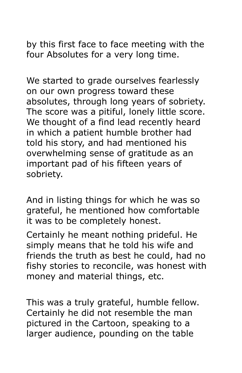by this first face to face meeting with the four Absolutes for a very long time.

We started to grade ourselves fearlessly on our own progress toward these absolutes, through long years of sobriety. The score was a pitiful, lonely little score. We thought of a find lead recently heard in which a patient humble brother had told his story, and had mentioned his overwhelming sense of gratitude as an important pad of his fifteen years of sobriety.

And in listing things for which he was so grateful, he mentioned how comfortable it was to be completely honest.

Certainly he meant nothing prideful. He simply means that he told his wife and friends the truth as best he could, had no fishy stories to reconcile, was honest with money and material things, etc.

This was a truly grateful, humble fellow. Certainly he did not resemble the man pictured in the Cartoon, speaking to a larger audience, pounding on the table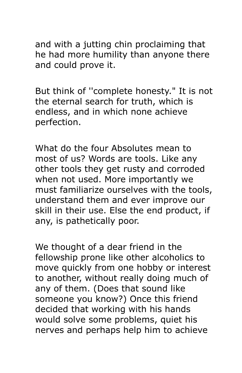and with a jutting chin proclaiming that he had more humility than anyone there and could prove it.

But think of ''complete honesty." It is not the eternal search for truth, which is endless, and in which none achieve perfection.

What do the four Absolutes mean to most of us? Words are tools. Like any other tools they get rusty and corroded when not used. More importantly we must familiarize ourselves with the tools, understand them and ever improve our skill in their use. Else the end product, if any, is pathetically poor.

We thought of a dear friend in the fellowship prone like other alcoholics to move quickly from one hobby or interest to another, without really doing much of any of them. (Does that sound like someone you know?) Once this friend decided that working with his hands would solve some problems, quiet his nerves and perhaps help him to achieve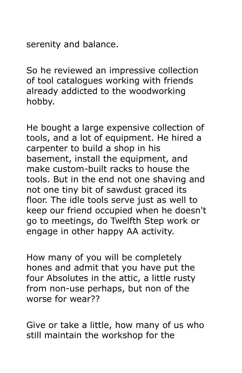serenity and balance.

So he reviewed an impressive collection of tool catalogues working with friends already addicted to the woodworking hobby.

He bought a large expensive collection of tools, and a lot of equipment. He hired a carpenter to build a shop in his basement, install the equipment, and make custom-built racks to house the tools. But in the end not one shaving and not one tiny bit of sawdust graced its floor. The idle tools serve just as well to keep our friend occupied when he doesn't go to meetings, do Twelfth Step work or engage in other happy AA activity.

How many of you will be completely hones and admit that you have put the four Absolutes in the attic, a little rusty from non-use perhaps, but non of the worse for wear??

Give or take a little, how many of us who still maintain the workshop for the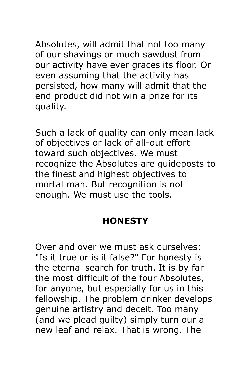Absolutes, will admit that not too many of our shavings or much sawdust from our activity have ever graces its floor. Or even assuming that the activity has persisted, how many will admit that the end product did not win a prize for its quality.

Such a lack of quality can only mean lack of objectives or lack of all-out effort toward such objectives. We must recognize the Absolutes are guideposts to the finest and highest objectives to mortal man. But recognition is not enough. We must use the tools.

# **HONESTY**

Over and over we must ask ourselves: "Is it true or is it false?" For honesty is the eternal search for truth. It is by far the most difficult of the four Absolutes, for anyone, but especially for us in this fellowship. The problem drinker develops genuine artistry and deceit. Too many (and we plead guilty) simply turn our a new leaf and relax. That is wrong. The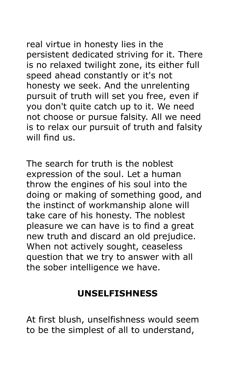real virtue in honesty lies in the persistent dedicated striving for it. There is no relaxed twilight zone, its either full speed ahead constantly or it's not honesty we seek. And the unrelenting pursuit of truth will set you free, even if you don't quite catch up to it. We need not choose or pursue falsity. All we need is to relax our pursuit of truth and falsity will find us.

The search for truth is the noblest expression of the soul. Let a human throw the engines of his soul into the doing or making of something good, and the instinct of workmanship alone will take care of his honesty. The noblest pleasure we can have is to find a great new truth and discard an old prejudice. When not actively sought, ceaseless question that we try to answer with all the sober intelligence we have.

# **UNSELFISHNESS**

At first blush, unselfishness would seem to be the simplest of all to understand,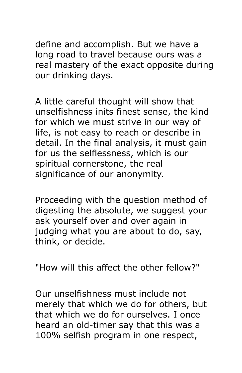define and accomplish. But we have a long road to travel because ours was a real mastery of the exact opposite during our drinking days.

A little careful thought will show that unselfishness inits finest sense, the kind for which we must strive in our way of life, is not easy to reach or describe in detail. In the final analysis, it must gain for us the selflessness, which is our spiritual cornerstone, the real significance of our anonymity.

Proceeding with the question method of digesting the absolute, we suggest your ask yourself over and over again in judging what you are about to do, say, think, or decide.

"How will this affect the other fellow?"

Our unselfishness must include not merely that which we do for others, but that which we do for ourselves. I once heard an old-timer say that this was a 100% selfish program in one respect,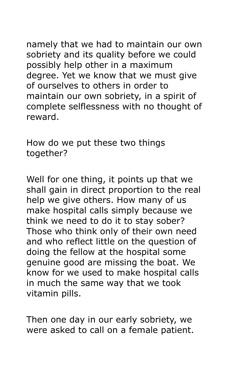namely that we had to maintain our own sobriety and its quality before we could possibly help other in a maximum degree. Yet we know that we must give of ourselves to others in order to maintain our own sobriety, in a spirit of complete selflessness with no thought of reward.

How do we put these two things together?

Well for one thing, it points up that we shall gain in direct proportion to the real help we give others. How many of us make hospital calls simply because we think we need to do it to stay sober? Those who think only of their own need and who reflect little on the question of doing the fellow at the hospital some genuine good are missing the boat. We know for we used to make hospital calls in much the same way that we took vitamin pills.

Then one day in our early sobriety, we were asked to call on a female patient.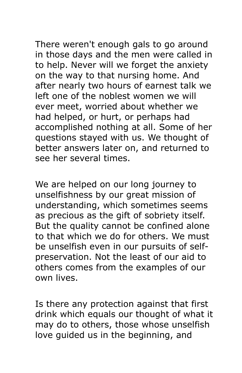There weren't enough gals to go around in those days and the men were called in to help. Never will we forget the anxiety on the way to that nursing home. And after nearly two hours of earnest talk we left one of the noblest women we will ever meet, worried about whether we had helped, or hurt, or perhaps had accomplished nothing at all. Some of her questions stayed with us. We thought of better answers later on, and returned to see her several times.

We are helped on our long journey to unselfishness by our great mission of understanding, which sometimes seems as precious as the gift of sobriety itself. But the quality cannot be confined alone to that which we do for others. We must be unselfish even in our pursuits of selfpreservation. Not the least of our aid to others comes from the examples of our own lives.

Is there any protection against that first drink which equals our thought of what it may do to others, those whose unselfish love guided us in the beginning, and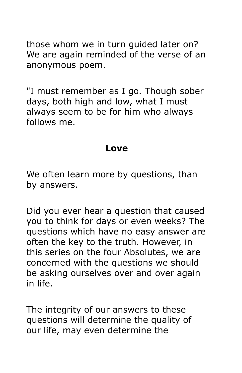those whom we in turn guided later on? We are again reminded of the verse of an anonymous poem.

"I must remember as I go. Though sober days, both high and low, what I must always seem to be for him who always follows me.

#### **Love**

We often learn more by questions, than by answers.

Did you ever hear a question that caused you to think for days or even weeks? The questions which have no easy answer are often the key to the truth. However, in this series on the four Absolutes, we are concerned with the questions we should be asking ourselves over and over again in life.

The integrity of our answers to these questions will determine the quality of our life, may even determine the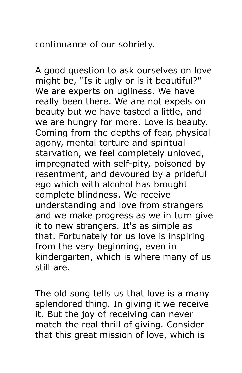continuance of our sobriety.

A good question to ask ourselves on love might be, ''Is it ugly or is it beautiful?" We are experts on ugliness. We have really been there. We are not expels on beauty but we have tasted a little, and we are hungry for more. Love is beauty. Coming from the depths of fear, physical agony, mental torture and spiritual starvation, we feel completely unloved, impregnated with self-pity, poisoned by resentment, and devoured by a prideful ego which with alcohol has brought complete blindness. We receive understanding and love from strangers and we make progress as we in turn give it to new strangers. It's as simple as that. Fortunately for us love is inspiring from the very beginning, even in kindergarten, which is where many of us still are.

The old song tells us that love is a many splendored thing. In giving it we receive it. But the joy of receiving can never match the real thrill of giving. Consider that this great mission of love, which is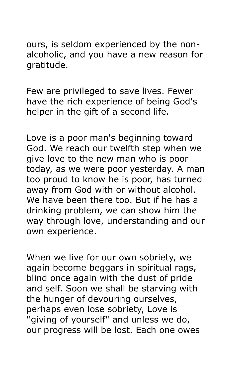ours, is seldom experienced by the nonalcoholic, and you have a new reason for gratitude.

Few are privileged to save lives. Fewer have the rich experience of being God's helper in the gift of a second life.

Love is a poor man's beginning toward God. We reach our twelfth step when we give love to the new man who is poor today, as we were poor yesterday. A man too proud to know he is poor, has turned away from God with or without alcohol. We have been there too. But if he has a drinking problem, we can show him the way through love, understanding and our own experience.

When we live for our own sobriety, we again become beggars in spiritual rags, blind once again with the dust of pride and self. Soon we shall be starving with the hunger of devouring ourselves, perhaps even lose sobriety, Love is ''giving of yourself" and unless we do, our progress will be lost. Each one owes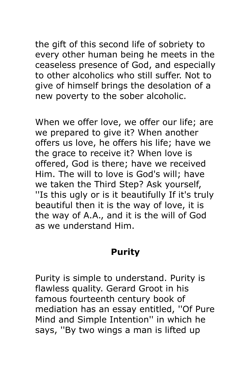the gift of this second life of sobriety to every other human being he meets in the ceaseless presence of God, and especially to other alcoholics who still suffer. Not to give of himself brings the desolation of a new poverty to the sober alcoholic.

When we offer love, we offer our life; are we prepared to give it? When another offers us love, he offers his life; have we the grace to receive it? When love is offered, God is there; have we received Him. The will to love is God's will; have we taken the Third Step? Ask yourself, ''Is this ugly or is it beautifully If it's truly beautiful then it is the way of love, it is the way of A.A., and it is the will of God as we understand Him.

## **Purity**

Purity is simple to understand. Purity is flawless quality. Gerard Groot in his famous fourteenth century book of mediation has an essay entitled, ''Of Pure Mind and Simple Intention'' in which he says, ''By two wings a man is lifted up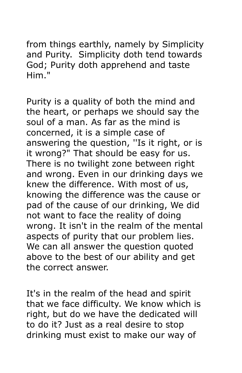from things earthly, namely by Simplicity and Purity. Simplicity doth tend towards God; Purity doth apprehend and taste Him."

Purity is a quality of both the mind and the heart, or perhaps we should say the soul of a man. As far as the mind is concerned, it is a simple case of answering the question, ''Is it right, or is it wrong?" That should be easy for us. There is no twilight zone between right and wrong. Even in our drinking days we knew the difference. With most of us, knowing the difference was the cause or pad of the cause of our drinking, We did not want to face the reality of doing wrong. It isn't in the realm of the mental aspects of purity that our problem lies. We can all answer the question quoted above to the best of our ability and get the correct answer.

It's in the realm of the head and spirit that we face difficulty. We know which is right, but do we have the dedicated will to do it? Just as a real desire to stop drinking must exist to make our way of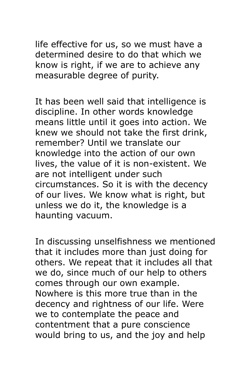life effective for us, so we must have a determined desire to do that which we know is right, if we are to achieve any measurable degree of purity.

It has been well said that intelligence is discipline. In other words knowledge means little until it goes into action. We knew we should not take the first drink, remember? Until we translate our knowledge into the action of our own lives, the value of it is non-existent. We are not intelligent under such circumstances. So it is with the decency of our lives. We know what is right, but unless we do it, the knowledge is a haunting vacuum.

In discussing unselfishness we mentioned that it includes more than just doing for others. We repeat that it includes all that we do, since much of our help to others comes through our own example. Nowhere is this more true than in the decency and rightness of our life. Were we to contemplate the peace and contentment that a pure conscience would bring to us, and the joy and help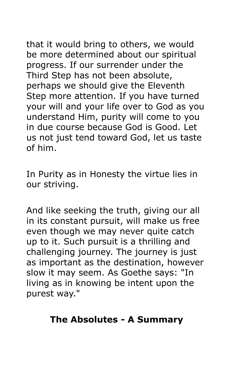that it would bring to others, we would be more determined about our spiritual progress. If our surrender under the Third Step has not been absolute, perhaps we should give the Eleventh Step more attention. If you have turned your will and your life over to God as you understand Him, purity will come to you in due course because God is Good. Let us not just tend toward God, let us taste of him.

In Purity as in Honesty the virtue lies in our striving.

And like seeking the truth, giving our all in its constant pursuit, will make us free even though we may never quite catch up to it. Such pursuit is a thrilling and challenging journey. The journey is just as important as the destination, however slow it may seem. As Goethe says: "In living as in knowing be intent upon the purest way."

## **The Absolutes - A Summary**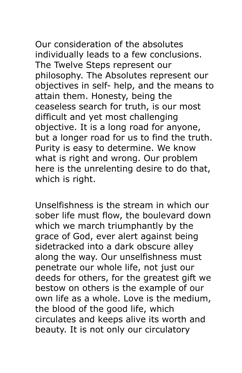Our consideration of the absolutes individually leads to a few conclusions. The Twelve Steps represent our philosophy. The Absolutes represent our objectives in self- help, and the means to attain them. Honesty, being the ceaseless search for truth, is our most difficult and yet most challenging objective. It is a long road for anyone, but a longer road for us to find the truth. Purity is easy to determine. We know what is right and wrong. Our problem here is the unrelenting desire to do that, which is right.

Unselfishness is the stream in which our sober life must flow, the boulevard down which we march triumphantly by the grace of God, ever alert against being sidetracked into a dark obscure alley along the way. Our unselfishness must penetrate our whole life, not just our deeds for others, for the greatest gift we bestow on others is the example of our own life as a whole. Love is the medium, the blood of the good life, which circulates and keeps alive its worth and beauty. It is not only our circulatory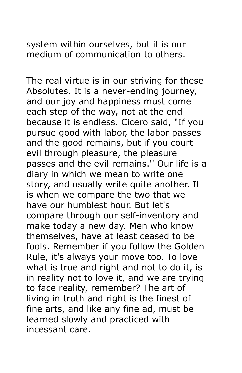system within ourselves, but it is our medium of communication to others.

The real virtue is in our striving for these Absolutes. It is a never-ending journey, and our joy and happiness must come each step of the way, not at the end because it is endless. Cicero said, "If you pursue good with labor, the labor passes and the good remains, but if you court evil through pleasure, the pleasure passes and the evil remains.'' Our life is a diary in which we mean to write one story, and usually write quite another. It is when we compare the two that we have our humblest hour. But let's compare through our self-inventory and make today a new day. Men who know themselves, have at least ceased to be fools. Remember if you follow the Golden Rule, it's always your move too. To love what is true and right and not to do it, is in reality not to love it, and we are trying to face reality, remember? The art of living in truth and right is the finest of fine arts, and like any fine ad, must be learned slowly and practiced with incessant care.